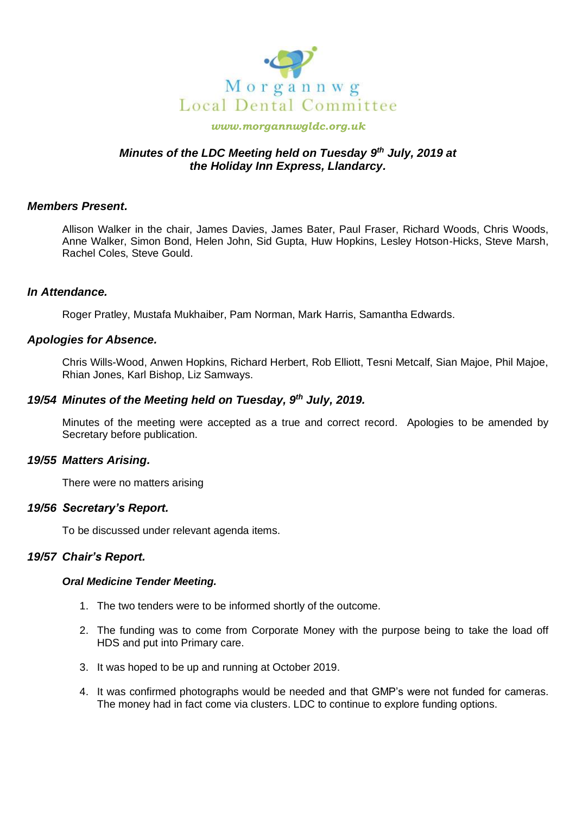

#### *www.morgannwgldc.org.uk*

# *Minutes of the LDC Meeting held on Tuesday 9 th July, 2019 at the Holiday Inn Express, Llandarcy.*

## *Members Present.*

Allison Walker in the chair, James Davies, James Bater, Paul Fraser, Richard Woods, Chris Woods, Anne Walker, Simon Bond, Helen John, Sid Gupta, Huw Hopkins, Lesley Hotson-Hicks, Steve Marsh, Rachel Coles, Steve Gould.

### *In Attendance.*

Roger Pratley, Mustafa Mukhaiber, Pam Norman, Mark Harris, Samantha Edwards.

### *Apologies for Absence.*

Chris Wills-Wood, Anwen Hopkins, Richard Herbert, Rob Elliott, Tesni Metcalf, Sian Majoe, Phil Majoe, Rhian Jones, Karl Bishop, Liz Samways.

## *19/54 Minutes of the Meeting held on Tuesday, 9 th July, 2019.*

Minutes of the meeting were accepted as a true and correct record. Apologies to be amended by Secretary before publication.

#### *19/55 Matters Arising.*

There were no matters arising

## *19/56 Secretary's Report.*

To be discussed under relevant agenda items.

## *19/57 Chair's Report.*

#### *Oral Medicine Tender Meeting.*

- 1. The two tenders were to be informed shortly of the outcome.
- 2. The funding was to come from Corporate Money with the purpose being to take the load off HDS and put into Primary care.
- 3. It was hoped to be up and running at October 2019.
- 4. It was confirmed photographs would be needed and that GMP's were not funded for cameras. The money had in fact come via clusters. LDC to continue to explore funding options.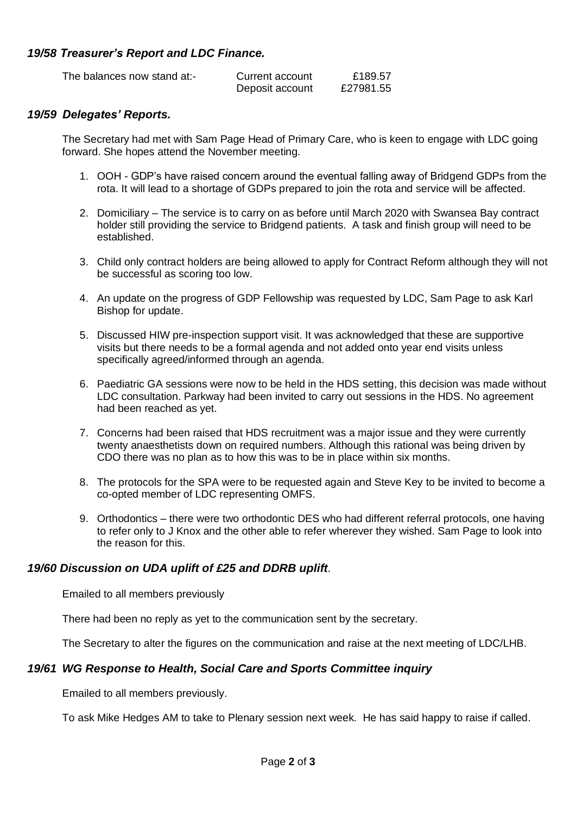# *19/58 Treasurer's Report and LDC Finance.*

| The balances now stand at:- | Current account | £189.57   |
|-----------------------------|-----------------|-----------|
|                             | Deposit account | £27981.55 |

## *19/59 Delegates' Reports.*

The Secretary had met with Sam Page Head of Primary Care, who is keen to engage with LDC going forward. She hopes attend the November meeting.

- 1. OOH GDP's have raised concern around the eventual falling away of Bridgend GDPs from the rota. It will lead to a shortage of GDPs prepared to join the rota and service will be affected.
- 2. Domiciliary The service is to carry on as before until March 2020 with Swansea Bay contract holder still providing the service to Bridgend patients. A task and finish group will need to be established.
- 3. Child only contract holders are being allowed to apply for Contract Reform although they will not be successful as scoring too low.
- 4. An update on the progress of GDP Fellowship was requested by LDC, Sam Page to ask Karl Bishop for update.
- 5. Discussed HIW pre-inspection support visit. It was acknowledged that these are supportive visits but there needs to be a formal agenda and not added onto year end visits unless specifically agreed/informed through an agenda.
- 6. Paediatric GA sessions were now to be held in the HDS setting, this decision was made without LDC consultation. Parkway had been invited to carry out sessions in the HDS. No agreement had been reached as yet.
- 7. Concerns had been raised that HDS recruitment was a major issue and they were currently twenty anaesthetists down on required numbers. Although this rational was being driven by CDO there was no plan as to how this was to be in place within six months.
- 8. The protocols for the SPA were to be requested again and Steve Key to be invited to become a co-opted member of LDC representing OMFS.
- 9. Orthodontics there were two orthodontic DES who had different referral protocols, one having to refer only to J Knox and the other able to refer wherever they wished. Sam Page to look into the reason for this.

## *19/60 Discussion on UDA uplift of £25 and DDRB uplift.*

Emailed to all members previously

There had been no reply as yet to the communication sent by the secretary.

The Secretary to alter the figures on the communication and raise at the next meeting of LDC/LHB.

# *19/61 WG Response to Health, Social Care and Sports Committee inquiry*

Emailed to all members previously.

To ask Mike Hedges AM to take to Plenary session next week. He has said happy to raise if called.